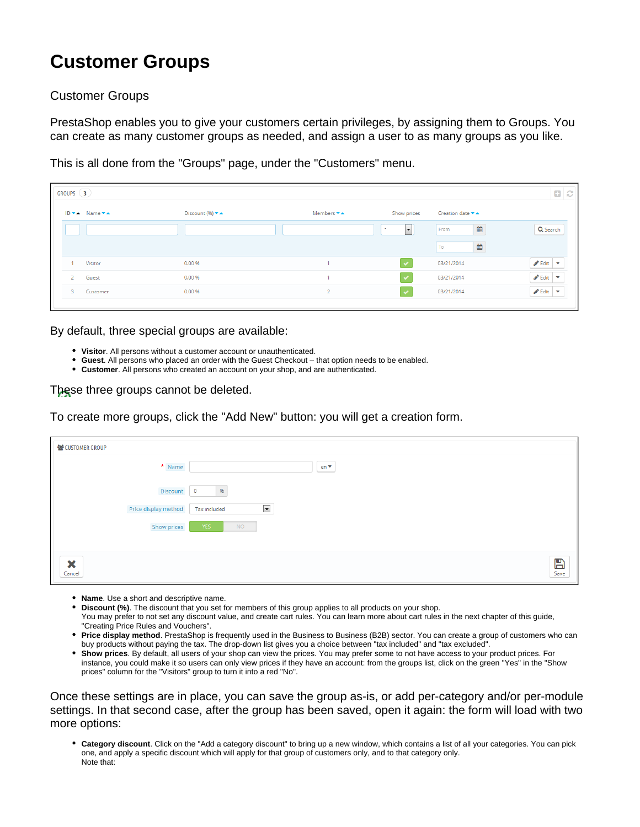## **Customer Groups**

## Customer Groups

PrestaShop enables you to give your customers certain privileges, by assigning them to Groups. You can create as many customer groups as needed, and assign a user to as many groups as you like.

This is all done from the "Groups" page, under the "Customers" menu.

| GROUPS $(3)$   |                     |                                                    |                |                      |                  | 0C                                    |
|----------------|---------------------|----------------------------------------------------|----------------|----------------------|------------------|---------------------------------------|
|                | $ID - A$ Name $- A$ | Discount (%) $\blacktriangledown$ $\blacktriangle$ | Members ▼▲     | Show prices          | Creation date ▼▲ |                                       |
|                |                     |                                                    |                | $\sim$<br>l v        | 雦<br>From        | Q Search                              |
|                |                     |                                                    |                |                      | ₩<br>To          |                                       |
|                | Visitor             | 0.00 %                                             |                | $\checkmark$         | 03/21/2014       | $\bullet$ Edit $\bullet$              |
| $\overline{2}$ | Guest               | 0.00 %                                             |                | $\checkmark$         | 03/21/2014       | $\triangle$ Edit $\blacktriangledown$ |
| $3 -$          | Customer            | 0.00 %                                             | $\overline{2}$ | $\blacktriangledown$ | 03/21/2014       | $\triangle$ Edit $\blacktriangledown$ |
|                |                     |                                                    |                |                      |                  |                                       |

By default, three special groups are available:

- **Visitor**. All persons without a customer account or unauthenticated.
- **Guest**. All persons who placed an order with the Guest Checkout that option needs to be enabled.
- **Customer**. All persons who created an account on your shop, and are authenticated.

## These three groups cannot be deleted.

To create more groups, click the "Add New" button: you will get a creation form.

| 상 CUSTOMER GROUP     |                                      |                      |
|----------------------|--------------------------------------|----------------------|
| $\star$ Name         | en v                                 |                      |
| Discount             | 96 <sub>0</sub><br>$\overline{0}$    |                      |
| Price display method | $\blacktriangledown$<br>Tax included |                      |
| Show prices          | <b>YES</b><br><b>NO</b>              |                      |
|                      |                                      |                      |
| ×<br>Cancel          |                                      | $\sum_{\text{Save}}$ |

- **Name**. Use a short and descriptive name.
- **Discount (%)**. The discount that you set for members of this group applies to all products on your shop.
- You may prefer to not set any discount value, and create cart rules. You can learn more about cart rules in the next chapter of this guide, "Creating Price Rules and Vouchers".
- **Price display method**. PrestaShop is frequently used in the Business to Business (B2B) sector. You can create a group of customers who can buy products without paying the tax. The drop-down list gives you a choice between "tax included" and "tax excluded".
- **Show prices**. By default, all users of your shop can view the prices. You may prefer some to not have access to your product prices. For instance, you could make it so users can only view prices if they have an account: from the groups list, click on the green "Yes" in the "Show prices" column for the "Visitors" group to turn it into a red "No".

Once these settings are in place, you can save the group as-is, or add per-category and/or per-module settings. In that second case, after the group has been saved, open it again: the form will load with two more options:

**Category discount**. Click on the "Add a category discount" to bring up a new window, which contains a list of all your categories. You can pick one, and apply a specific discount which will apply for that group of customers only, and to that category only. Note that: